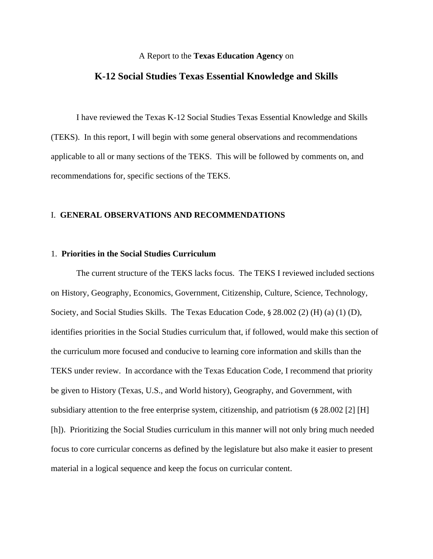#### A Report to the **Texas Education Agency** on

# **K-12 Social Studies Texas Essential Knowledge and Skills**

I have reviewed the Texas K-12 Social Studies Texas Essential Knowledge and Skills (TEKS). In this report, I will begin with some general observations and recommendations applicable to all or many sections of the TEKS. This will be followed by comments on, and recommendations for, specific sections of the TEKS.

## I. **GENERAL OBSERVATIONS AND RECOMMENDATIONS**

## 1. **Priorities in the Social Studies Curriculum**

 The current structure of the TEKS lacks focus. The TEKS I reviewed included sections on History, Geography, Economics, Government, Citizenship, Culture, Science, Technology, Society, and Social Studies Skills. The Texas Education Code, § 28.002 (2) (H) (a) (1) (D), identifies priorities in the Social Studies curriculum that, if followed, would make this section of the curriculum more focused and conducive to learning core information and skills than the TEKS under review. In accordance with the Texas Education Code, I recommend that priority be given to History (Texas, U.S., and World history), Geography, and Government, with subsidiary attention to the free enterprise system, citizenship, and patriotism (§ 28.002 [2] [H] [h]). Prioritizing the Social Studies curriculum in this manner will not only bring much needed focus to core curricular concerns as defined by the legislature but also make it easier to present material in a logical sequence and keep the focus on curricular content.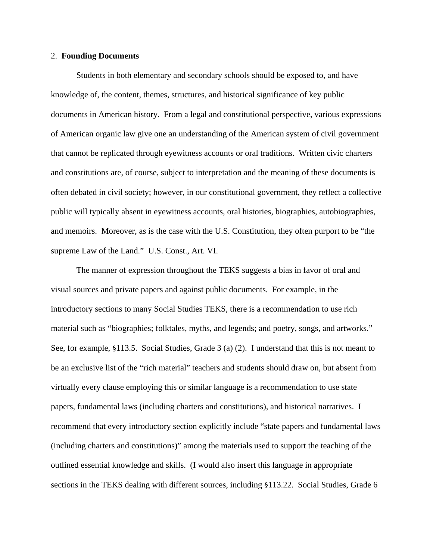## 2. **Founding Documents**

Students in both elementary and secondary schools should be exposed to, and have knowledge of, the content, themes, structures, and historical significance of key public documents in American history. From a legal and constitutional perspective, various expressions of American organic law give one an understanding of the American system of civil government that cannot be replicated through eyewitness accounts or oral traditions. Written civic charters and constitutions are, of course, subject to interpretation and the meaning of these documents is often debated in civil society; however, in our constitutional government, they reflect a collective public will typically absent in eyewitness accounts, oral histories, biographies, autobiographies, and memoirs. Moreover, as is the case with the U.S. Constitution, they often purport to be "the supreme Law of the Land." U.S. Const., Art. VI.

The manner of expression throughout the TEKS suggests a bias in favor of oral and visual sources and private papers and against public documents. For example, in the introductory sections to many Social Studies TEKS, there is a recommendation to use rich material such as "biographies; folktales, myths, and legends; and poetry, songs, and artworks." See, for example, §113.5. Social Studies, Grade 3 (a) (2). I understand that this is not meant to be an exclusive list of the "rich material" teachers and students should draw on, but absent from virtually every clause employing this or similar language is a recommendation to use state papers, fundamental laws (including charters and constitutions), and historical narratives. I recommend that every introductory section explicitly include "state papers and fundamental laws (including charters and constitutions)" among the materials used to support the teaching of the outlined essential knowledge and skills. (I would also insert this language in appropriate sections in the TEKS dealing with different sources, including §113.22. Social Studies, Grade 6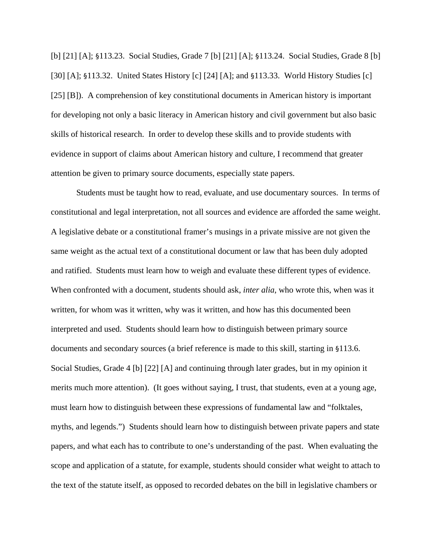[b] [21] [A]; §113.23. Social Studies, Grade 7 [b] [21] [A]; §113.24. Social Studies, Grade 8 [b] [30] [A]; §113.32. United States History [c] [24] [A]; and §113.33. World History Studies [c] [25] [B]). A comprehension of key constitutional documents in American history is important for developing not only a basic literacy in American history and civil government but also basic skills of historical research. In order to develop these skills and to provide students with evidence in support of claims about American history and culture, I recommend that greater attention be given to primary source documents, especially state papers.

Students must be taught how to read, evaluate, and use documentary sources. In terms of constitutional and legal interpretation, not all sources and evidence are afforded the same weight. A legislative debate or a constitutional framer's musings in a private missive are not given the same weight as the actual text of a constitutional document or law that has been duly adopted and ratified. Students must learn how to weigh and evaluate these different types of evidence. When confronted with a document, students should ask, *inter alia*, who wrote this, when was it written, for whom was it written, why was it written, and how has this documented been interpreted and used. Students should learn how to distinguish between primary source documents and secondary sources (a brief reference is made to this skill, starting in §113.6. Social Studies, Grade 4 [b] [22] [A] and continuing through later grades, but in my opinion it merits much more attention). (It goes without saying, I trust, that students, even at a young age, must learn how to distinguish between these expressions of fundamental law and "folktales, myths, and legends.") Students should learn how to distinguish between private papers and state papers, and what each has to contribute to one's understanding of the past. When evaluating the scope and application of a statute, for example, students should consider what weight to attach to the text of the statute itself, as opposed to recorded debates on the bill in legislative chambers or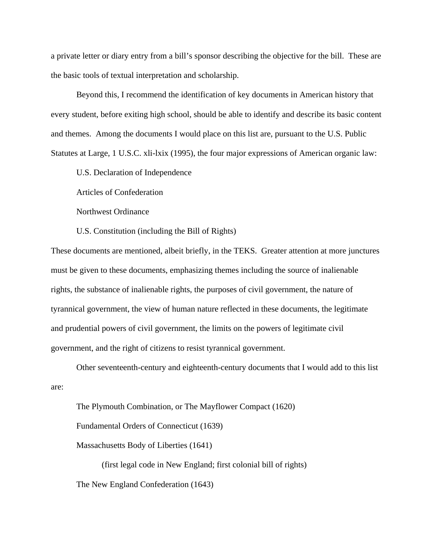a private letter or diary entry from a bill's sponsor describing the objective for the bill. These are the basic tools of textual interpretation and scholarship.

 Beyond this, I recommend the identification of key documents in American history that every student, before exiting high school, should be able to identify and describe its basic content and themes. Among the documents I would place on this list are, pursuant to the U.S. Public Statutes at Large, 1 U.S.C. xli-lxix (1995), the four major expressions of American organic law:

U.S. Declaration of Independence

Articles of Confederation

Northwest Ordinance

U.S. Constitution (including the Bill of Rights)

These documents are mentioned, albeit briefly, in the TEKS. Greater attention at more junctures must be given to these documents, emphasizing themes including the source of inalienable rights, the substance of inalienable rights, the purposes of civil government, the nature of tyrannical government, the view of human nature reflected in these documents, the legitimate and prudential powers of civil government, the limits on the powers of legitimate civil government, and the right of citizens to resist tyrannical government.

Other seventeenth-century and eighteenth-century documents that I would add to this list are:

The Plymouth Combination, or The Mayflower Compact (1620) Fundamental Orders of Connecticut (1639) Massachusetts Body of Liberties (1641) (first legal code in New England; first colonial bill of rights)

The New England Confederation (1643)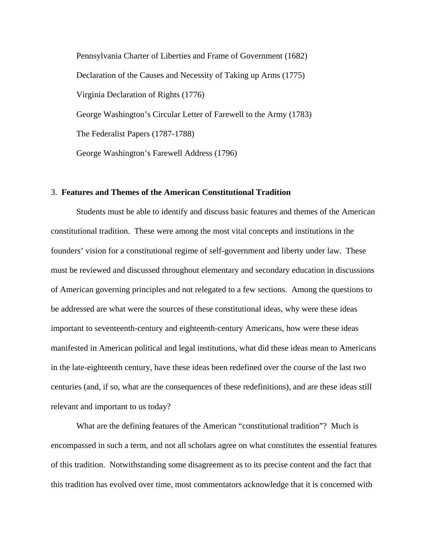Pennsylvania Charter of Liberties and Frame of Government (1682) Declaration of the Causes and Necessity of Taking up Arms (1775) Virginia Declaration of Rights (1776) George Washington's Circular Letter of Farewell to the Army (1783) The Federalist Papers (1787-1788) George Washington's Farewell Address (1796)

## 3. **Features and Themes of the American Constitutional Tradition**

Students must be able to identify and discuss basic features and themes of the American constitutional tradition. These were among the most vital concepts and institutions in the founders' vision for a constitutional regime of self-government and liberty under law. These must be reviewed and discussed throughout elementary and secondary education in discussions of American governing principles and not relegated to a few sections. Among the questions to be addressed are what were the sources of these constitutional ideas, why were these ideas important to seventeenth-century and eighteenth-century Americans, how were these ideas manifested in American political and legal institutions, what did these ideas mean to Americans in the late-eighteenth century, have these ideas been redefined over the course of the last two centuries (and, if so, what are the consequences of these redefinitions), and are these ideas still relevant and important to us today?

 What are the defining features of the American "constitutional tradition"? Much is encompassed in such a term, and not all scholars agree on what constitutes the essential features of this tradition. Notwithstanding some disagreement as to its precise content and the fact that this tradition has evolved over time, most commentators acknowledge that it is concerned with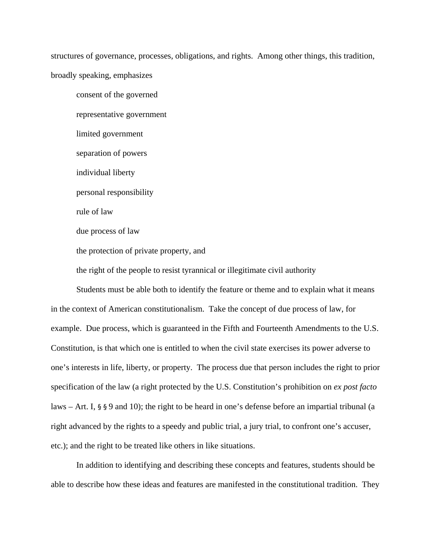structures of governance, processes, obligations, and rights. Among other things, this tradition, broadly speaking, emphasizes

consent of the governed representative government limited government separation of powers individual liberty personal responsibility rule of law due process of law the protection of private property, and the right of the people to resist tyrannical or illegitimate civil authority

Students must be able both to identify the feature or theme and to explain what it means in the context of American constitutionalism. Take the concept of due process of law, for example. Due process, which is guaranteed in the Fifth and Fourteenth Amendments to the U.S. Constitution, is that which one is entitled to when the civil state exercises its power adverse to one's interests in life, liberty, or property. The process due that person includes the right to prior specification of the law (a right protected by the U.S. Constitution's prohibition on *ex post facto* laws – Art. I, § § 9 and 10); the right to be heard in one's defense before an impartial tribunal (a right advanced by the rights to a speedy and public trial, a jury trial, to confront one's accuser, etc.); and the right to be treated like others in like situations.

In addition to identifying and describing these concepts and features, students should be able to describe how these ideas and features are manifested in the constitutional tradition. They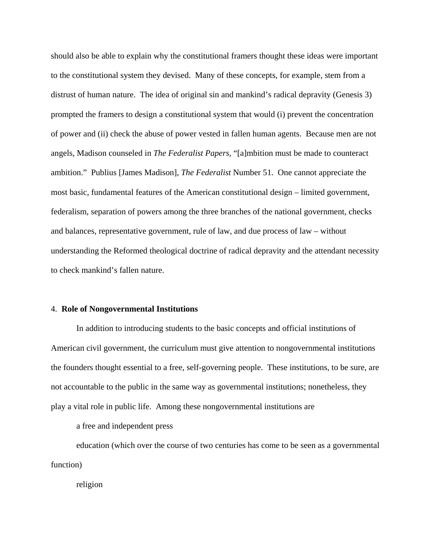should also be able to explain why the constitutional framers thought these ideas were important to the constitutional system they devised. Many of these concepts, for example, stem from a distrust of human nature. The idea of original sin and mankind's radical depravity (Genesis 3) prompted the framers to design a constitutional system that would (i) prevent the concentration of power and (ii) check the abuse of power vested in fallen human agents. Because men are not angels, Madison counseled in *The Federalist Papers,* "[a]mbition must be made to counteract ambition." Publius [James Madison], *The Federalist* Number 51. One cannot appreciate the most basic, fundamental features of the American constitutional design – limited government, federalism, separation of powers among the three branches of the national government, checks and balances, representative government, rule of law, and due process of law – without understanding the Reformed theological doctrine of radical depravity and the attendant necessity to check mankind's fallen nature.

#### 4. **Role of Nongovernmental Institutions**

In addition to introducing students to the basic concepts and official institutions of American civil government, the curriculum must give attention to nongovernmental institutions the founders thought essential to a free, self-governing people. These institutions, to be sure, are not accountable to the public in the same way as governmental institutions; nonetheless, they play a vital role in public life. Among these nongovernmental institutions are

a free and independent press

education (which over the course of two centuries has come to be seen as a governmental function)

religion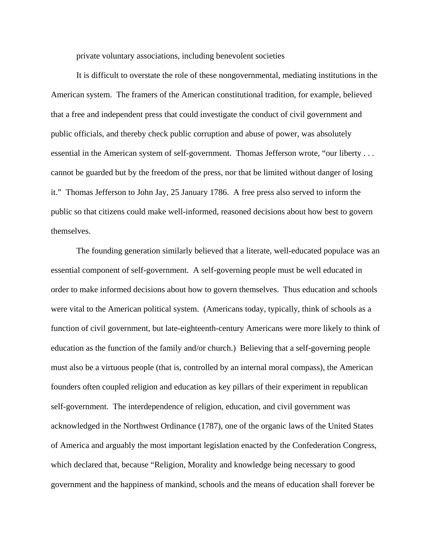private voluntary associations, including benevolent societies

It is difficult to overstate the role of these nongovernmental, mediating institutions in the American system. The framers of the American constitutional tradition, for example, believed that a free and independent press that could investigate the conduct of civil government and public officials, and thereby check public corruption and abuse of power, was absolutely essential in the American system of self-government. Thomas Jefferson wrote, "our liberty . . . cannot be guarded but by the freedom of the press, nor that be limited without danger of losing it." Thomas Jefferson to John Jay, 25 January 1786. A free press also served to inform the public so that citizens could make well-informed, reasoned decisions about how best to govern themselves.

The founding generation similarly believed that a literate, well-educated populace was an essential component of self-government. A self-governing people must be well educated in order to make informed decisions about how to govern themselves. Thus education and schools were vital to the American political system. (Americans today, typically, think of schools as a function of civil government, but late-eighteenth-century Americans were more likely to think of education as the function of the family and/or church.) Believing that a self-governing people must also be a virtuous people (that is, controlled by an internal moral compass), the American founders often coupled religion and education as key pillars of their experiment in republican self-government. The interdependence of religion, education, and civil government was acknowledged in the Northwest Ordinance (1787), one of the organic laws of the United States of America and arguably the most important legislation enacted by the Confederation Congress, which declared that, because "Religion, Morality and knowledge being necessary to good government and the happiness of mankind, schools and the means of education shall forever be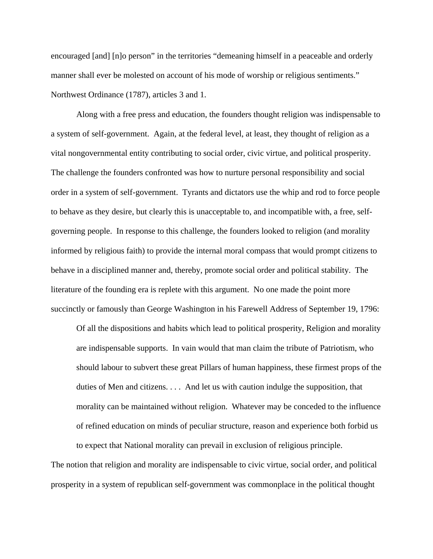encouraged [and] [n]o person" in the territories "demeaning himself in a peaceable and orderly manner shall ever be molested on account of his mode of worship or religious sentiments." Northwest Ordinance (1787), articles 3 and 1.

Along with a free press and education, the founders thought religion was indispensable to a system of self-government. Again, at the federal level, at least, they thought of religion as a vital nongovernmental entity contributing to social order, civic virtue, and political prosperity. The challenge the founders confronted was how to nurture personal responsibility and social order in a system of self-government. Tyrants and dictators use the whip and rod to force people to behave as they desire, but clearly this is unacceptable to, and incompatible with, a free, selfgoverning people. In response to this challenge, the founders looked to religion (and morality informed by religious faith) to provide the internal moral compass that would prompt citizens to behave in a disciplined manner and, thereby, promote social order and political stability. The literature of the founding era is replete with this argument. No one made the point more succinctly or famously than George Washington in his Farewell Address of September 19, 1796:

Of all the dispositions and habits which lead to political prosperity, Religion and morality are indispensable supports. In vain would that man claim the tribute of Patriotism, who should labour to subvert these great Pillars of human happiness, these firmest props of the duties of Men and citizens. . . . And let us with caution indulge the supposition, that morality can be maintained without religion. Whatever may be conceded to the influence of refined education on minds of peculiar structure, reason and experience both forbid us to expect that National morality can prevail in exclusion of religious principle.

The notion that religion and morality are indispensable to civic virtue, social order, and political prosperity in a system of republican self-government was commonplace in the political thought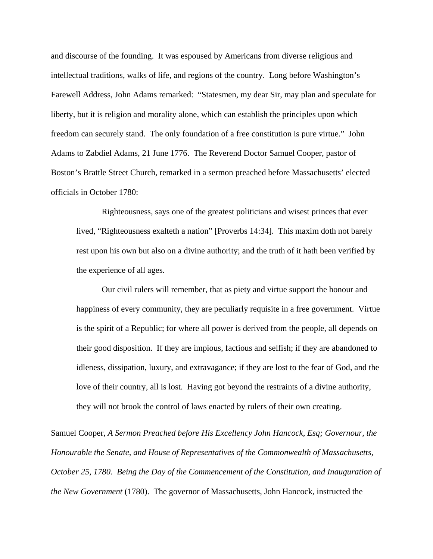and discourse of the founding. It was espoused by Americans from diverse religious and intellectual traditions, walks of life, and regions of the country. Long before Washington's Farewell Address, John Adams remarked: "Statesmen, my dear Sir, may plan and speculate for liberty, but it is religion and morality alone, which can establish the principles upon which freedom can securely stand. The only foundation of a free constitution is pure virtue." John Adams to Zabdiel Adams, 21 June 1776. The Reverend Doctor Samuel Cooper, pastor of Boston's Brattle Street Church, remarked in a sermon preached before Massachusetts' elected officials in October 1780:

Righteousness, says one of the greatest politicians and wisest princes that ever lived, "Righteousness exalteth a nation" [Proverbs 14:34]. This maxim doth not barely rest upon his own but also on a divine authority; and the truth of it hath been verified by the experience of all ages.

Our civil rulers will remember, that as piety and virtue support the honour and happiness of every community, they are peculiarly requisite in a free government. Virtue is the spirit of a Republic; for where all power is derived from the people, all depends on their good disposition. If they are impious, factious and selfish; if they are abandoned to idleness, dissipation, luxury, and extravagance; if they are lost to the fear of God, and the love of their country, all is lost. Having got beyond the restraints of a divine authority, they will not brook the control of laws enacted by rulers of their own creating.

Samuel Cooper, *A Sermon Preached before His Excellency John Hancock, Esq; Governour, the Honourable the Senate, and House of Representatives of the Commonwealth of Massachusetts, October 25, 1780. Being the Day of the Commencement of the Constitution, and Inauguration of the New Government* (1780). The governor of Massachusetts, John Hancock, instructed the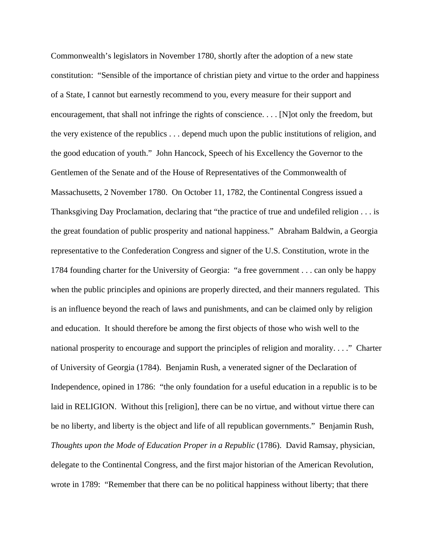Commonwealth's legislators in November 1780, shortly after the adoption of a new state constitution: "Sensible of the importance of christian piety and virtue to the order and happiness of a State, I cannot but earnestly recommend to you, every measure for their support and encouragement, that shall not infringe the rights of conscience. . . . [N]ot only the freedom, but the very existence of the republics . . . depend much upon the public institutions of religion, and the good education of youth." John Hancock, Speech of his Excellency the Governor to the Gentlemen of the Senate and of the House of Representatives of the Commonwealth of Massachusetts, 2 November 1780. On October 11, 1782, the Continental Congress issued a Thanksgiving Day Proclamation, declaring that "the practice of true and undefiled religion . . . is the great foundation of public prosperity and national happiness." Abraham Baldwin, a Georgia representative to the Confederation Congress and signer of the U.S. Constitution, wrote in the 1784 founding charter for the University of Georgia: "a free government . . . can only be happy when the public principles and opinions are properly directed, and their manners regulated. This is an influence beyond the reach of laws and punishments, and can be claimed only by religion and education. It should therefore be among the first objects of those who wish well to the national prosperity to encourage and support the principles of religion and morality. . . ." Charter of University of Georgia (1784). Benjamin Rush, a venerated signer of the Declaration of Independence, opined in 1786: "the only foundation for a useful education in a republic is to be laid in RELIGION. Without this [religion], there can be no virtue, and without virtue there can be no liberty, and liberty is the object and life of all republican governments." Benjamin Rush, *Thoughts upon the Mode of Education Proper in a Republic* (1786). David Ramsay, physician, delegate to the Continental Congress, and the first major historian of the American Revolution, wrote in 1789: "Remember that there can be no political happiness without liberty; that there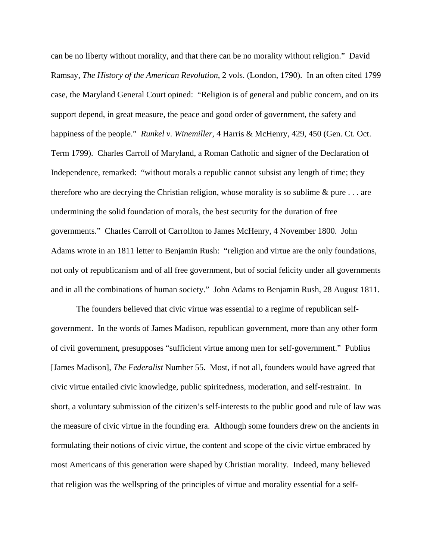can be no liberty without morality, and that there can be no morality without religion." David Ramsay, *The History of the American Revolution*, 2 vols. (London, 1790). In an often cited 1799 case, the Maryland General Court opined: "Religion is of general and public concern, and on its support depend, in great measure, the peace and good order of government, the safety and happiness of the people." *Runkel v. Winemiller*, 4 Harris & McHenry, 429, 450 (Gen. Ct. Oct. Term 1799). Charles Carroll of Maryland, a Roman Catholic and signer of the Declaration of Independence, remarked: "without morals a republic cannot subsist any length of time; they therefore who are decrying the Christian religion, whose morality is so sublime  $\&$  pure  $\dots$  are undermining the solid foundation of morals, the best security for the duration of free governments." Charles Carroll of Carrollton to James McHenry, 4 November 1800. John Adams wrote in an 1811 letter to Benjamin Rush: "religion and virtue are the only foundations, not only of republicanism and of all free government, but of social felicity under all governments and in all the combinations of human society." John Adams to Benjamin Rush, 28 August 1811.

The founders believed that civic virtue was essential to a regime of republican selfgovernment. In the words of James Madison, republican government, more than any other form of civil government, presupposes "sufficient virtue among men for self-government." Publius [James Madison], *The Federalist* Number 55. Most, if not all, founders would have agreed that civic virtue entailed civic knowledge, public spiritedness, moderation, and self-restraint. In short, a voluntary submission of the citizen's self-interests to the public good and rule of law was the measure of civic virtue in the founding era. Although some founders drew on the ancients in formulating their notions of civic virtue, the content and scope of the civic virtue embraced by most Americans of this generation were shaped by Christian morality. Indeed, many believed that religion was the wellspring of the principles of virtue and morality essential for a self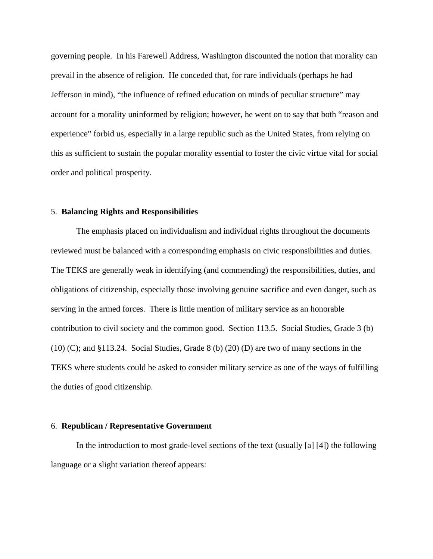governing people. In his Farewell Address, Washington discounted the notion that morality can prevail in the absence of religion. He conceded that, for rare individuals (perhaps he had Jefferson in mind), "the influence of refined education on minds of peculiar structure" may account for a morality uninformed by religion; however, he went on to say that both "reason and experience" forbid us, especially in a large republic such as the United States, from relying on this as sufficient to sustain the popular morality essential to foster the civic virtue vital for social order and political prosperity.

#### 5. **Balancing Rights and Responsibilities**

The emphasis placed on individualism and individual rights throughout the documents reviewed must be balanced with a corresponding emphasis on civic responsibilities and duties. The TEKS are generally weak in identifying (and commending) the responsibilities, duties, and obligations of citizenship, especially those involving genuine sacrifice and even danger, such as serving in the armed forces. There is little mention of military service as an honorable contribution to civil society and the common good. Section 113.5. Social Studies, Grade 3 (b)  $(10)$  (C); and §113.24. Social Studies, Grade 8 (b)  $(20)$  (D) are two of many sections in the TEKS where students could be asked to consider military service as one of the ways of fulfilling the duties of good citizenship.

## 6. **Republican / Representative Government**

 In the introduction to most grade-level sections of the text (usually [a] [4]) the following language or a slight variation thereof appears: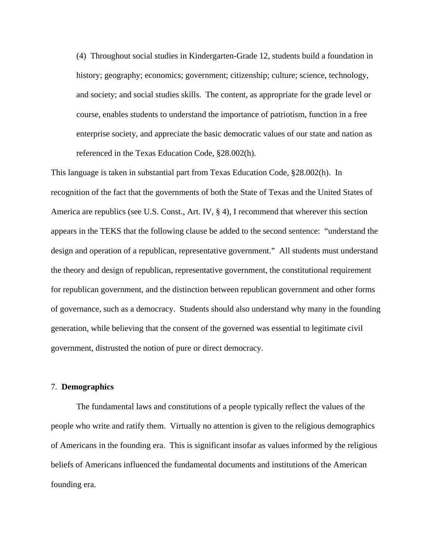(4) Throughout social studies in Kindergarten-Grade 12, students build a foundation in history; geography; economics; government; citizenship; culture; science, technology, and society; and social studies skills. The content, as appropriate for the grade level or course, enables students to understand the importance of patriotism, function in a free enterprise society, and appreciate the basic democratic values of our state and nation as referenced in the Texas Education Code, §28.002(h).

This language is taken in substantial part from Texas Education Code, §28.002(h). In recognition of the fact that the governments of both the State of Texas and the United States of America are republics (see U.S. Const., Art. IV, § 4), I recommend that wherever this section appears in the TEKS that the following clause be added to the second sentence: "understand the design and operation of a republican, representative government." All students must understand the theory and design of republican, representative government, the constitutional requirement for republican government, and the distinction between republican government and other forms of governance, such as a democracy. Students should also understand why many in the founding generation, while believing that the consent of the governed was essential to legitimate civil government, distrusted the notion of pure or direct democracy.

## 7. **Demographics**

 The fundamental laws and constitutions of a people typically reflect the values of the people who write and ratify them. Virtually no attention is given to the religious demographics of Americans in the founding era. This is significant insofar as values informed by the religious beliefs of Americans influenced the fundamental documents and institutions of the American founding era.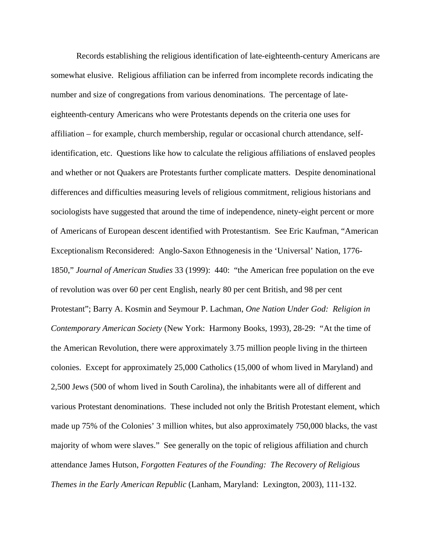Records establishing the religious identification of late-eighteenth-century Americans are somewhat elusive. Religious affiliation can be inferred from incomplete records indicating the number and size of congregations from various denominations. The percentage of lateeighteenth-century Americans who were Protestants depends on the criteria one uses for affiliation – for example, church membership, regular or occasional church attendance, selfidentification, etc. Questions like how to calculate the religious affiliations of enslaved peoples and whether or not Quakers are Protestants further complicate matters. Despite denominational differences and difficulties measuring levels of religious commitment, religious historians and sociologists have suggested that around the time of independence, ninety-eight percent or more of Americans of European descent identified with Protestantism. See Eric Kaufman, "American Exceptionalism Reconsidered: Anglo-Saxon Ethnogenesis in the 'Universal' Nation, 1776- 1850," *Journal of American Studies* 33 (1999): 440: "the American free population on the eve of revolution was over 60 per cent English, nearly 80 per cent British, and 98 per cent Protestant"; Barry A. Kosmin and Seymour P. Lachman, *One Nation Under God: Religion in Contemporary American Society* (New York: Harmony Books, 1993), 28-29: "At the time of the American Revolution, there were approximately 3.75 million people living in the thirteen colonies. Except for approximately 25,000 Catholics (15,000 of whom lived in Maryland) and 2,500 Jews (500 of whom lived in South Carolina), the inhabitants were all of different and various Protestant denominations. These included not only the British Protestant element, which made up 75% of the Colonies' 3 million whites, but also approximately 750,000 blacks, the vast majority of whom were slaves." See generally on the topic of religious affiliation and church attendance James Hutson, *Forgotten Features of the Founding: The Recovery of Religious Themes in the Early American Republic* (Lanham, Maryland: Lexington, 2003), 111-132.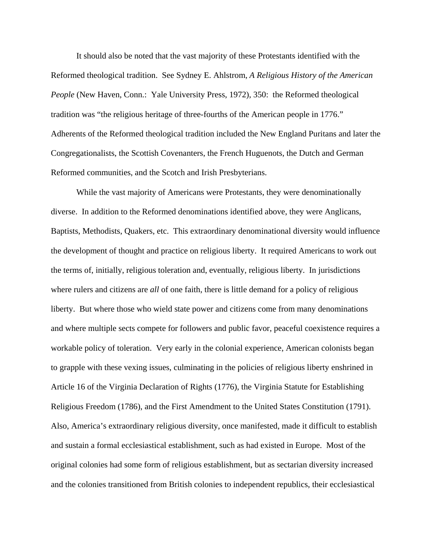It should also be noted that the vast majority of these Protestants identified with the Reformed theological tradition. See Sydney E. Ahlstrom, *A Religious History of the American People* (New Haven, Conn.: Yale University Press, 1972), 350: the Reformed theological tradition was "the religious heritage of three-fourths of the American people in 1776." Adherents of the Reformed theological tradition included the New England Puritans and later the Congregationalists, the Scottish Covenanters, the French Huguenots, the Dutch and German Reformed communities, and the Scotch and Irish Presbyterians.

While the vast majority of Americans were Protestants, they were denominationally diverse. In addition to the Reformed denominations identified above, they were Anglicans, Baptists, Methodists, Quakers, etc. This extraordinary denominational diversity would influence the development of thought and practice on religious liberty. It required Americans to work out the terms of, initially, religious toleration and, eventually, religious liberty. In jurisdictions where rulers and citizens are *all* of one faith, there is little demand for a policy of religious liberty. But where those who wield state power and citizens come from many denominations and where multiple sects compete for followers and public favor, peaceful coexistence requires a workable policy of toleration. Very early in the colonial experience, American colonists began to grapple with these vexing issues, culminating in the policies of religious liberty enshrined in Article 16 of the Virginia Declaration of Rights (1776), the Virginia Statute for Establishing Religious Freedom (1786), and the First Amendment to the United States Constitution (1791). Also, America's extraordinary religious diversity, once manifested, made it difficult to establish and sustain a formal ecclesiastical establishment, such as had existed in Europe. Most of the original colonies had some form of religious establishment, but as sectarian diversity increased and the colonies transitioned from British colonies to independent republics, their ecclesiastical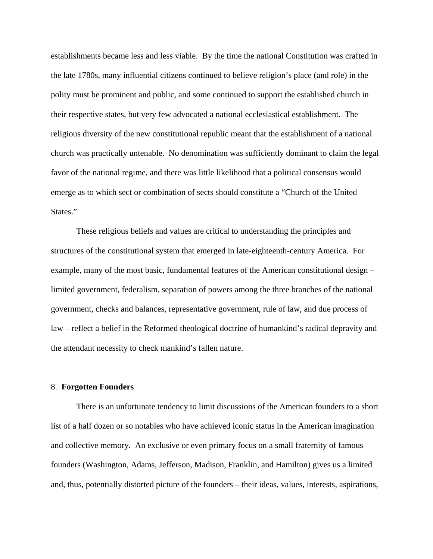establishments became less and less viable. By the time the national Constitution was crafted in the late 1780s, many influential citizens continued to believe religion's place (and role) in the polity must be prominent and public, and some continued to support the established church in their respective states, but very few advocated a national ecclesiastical establishment. The religious diversity of the new constitutional republic meant that the establishment of a national church was practically untenable. No denomination was sufficiently dominant to claim the legal favor of the national regime, and there was little likelihood that a political consensus would emerge as to which sect or combination of sects should constitute a "Church of the United States."

These religious beliefs and values are critical to understanding the principles and structures of the constitutional system that emerged in late-eighteenth-century America. For example, many of the most basic, fundamental features of the American constitutional design – limited government, federalism, separation of powers among the three branches of the national government, checks and balances, representative government, rule of law, and due process of law – reflect a belief in the Reformed theological doctrine of humankind's radical depravity and the attendant necessity to check mankind's fallen nature.

#### 8. **Forgotten Founders**

There is an unfortunate tendency to limit discussions of the American founders to a short list of a half dozen or so notables who have achieved iconic status in the American imagination and collective memory. An exclusive or even primary focus on a small fraternity of famous founders (Washington, Adams, Jefferson, Madison, Franklin, and Hamilton) gives us a limited and, thus, potentially distorted picture of the founders – their ideas, values, interests, aspirations,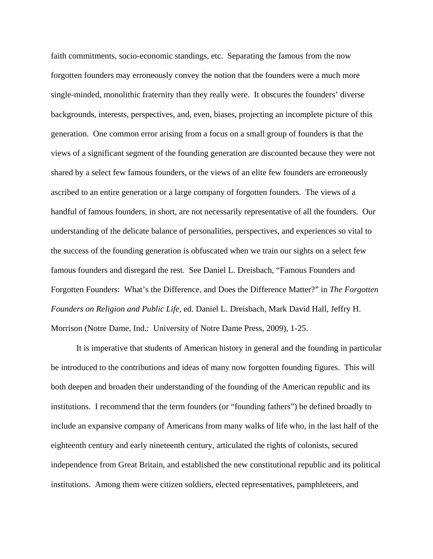faith commitments, socio-economic standings, etc. Separating the famous from the now forgotten founders may erroneously convey the notion that the founders were a much more single-minded, monolithic fraternity than they really were. It obscures the founders' diverse backgrounds, interests, perspectives, and, even, biases, projecting an incomplete picture of this generation. One common error arising from a focus on a small group of founders is that the views of a significant segment of the founding generation are discounted because they were not shared by a select few famous founders, or the views of an elite few founders are erroneously ascribed to an entire generation or a large company of forgotten founders. The views of a handful of famous founders, in short, are not necessarily representative of all the founders. Our understanding of the delicate balance of personalities, perspectives, and experiences so vital to the success of the founding generation is obfuscated when we train our sights on a select few famous founders and disregard the rest. See Daniel L. Dreisbach, "Famous Founders and Forgotten Founders: What's the Difference, and Does the Difference Matter?" in *The Forgotten Founders on Religion and Public Life,* ed. Daniel L. Dreisbach, Mark David Hall, Jeffry H. Morrison (Notre Dame, Ind.: University of Notre Dame Press, 2009), 1-25.

It is imperative that students of American history in general and the founding in particular be introduced to the contributions and ideas of many now forgotten founding figures. This will both deepen and broaden their understanding of the founding of the American republic and its institutions. I recommend that the term founders (or "founding fathers") be defined broadly to include an expansive company of Americans from many walks of life who, in the last half of the eighteenth century and early nineteenth century, articulated the rights of colonists, secured independence from Great Britain, and established the new constitutional republic and its political institutions. Among them were citizen soldiers, elected representatives, pamphleteers, and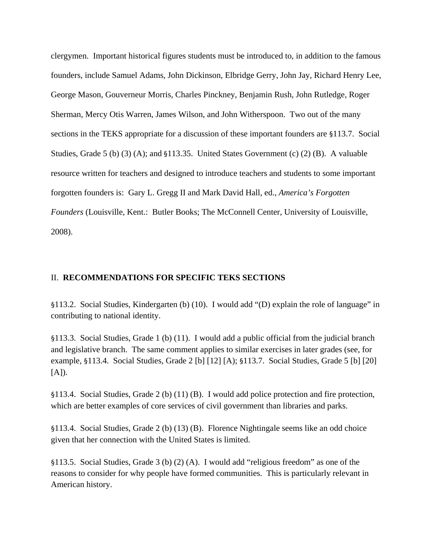clergymen. Important historical figures students must be introduced to, in addition to the famous founders, include Samuel Adams, John Dickinson, Elbridge Gerry, John Jay, Richard Henry Lee, George Mason, Gouverneur Morris, Charles Pinckney, Benjamin Rush, John Rutledge, Roger Sherman, Mercy Otis Warren, James Wilson, and John Witherspoon. Two out of the many sections in the TEKS appropriate for a discussion of these important founders are §113.7. Social Studies, Grade 5 (b) (3) (A); and §113.35. United States Government (c) (2) (B). A valuable resource written for teachers and designed to introduce teachers and students to some important forgotten founders is: Gary L. Gregg II and Mark David Hall, ed., *America's Forgotten Founders* (Louisville, Kent.: Butler Books; The McConnell Center, University of Louisville, 2008).

## II. **RECOMMENDATIONS FOR SPECIFIC TEKS SECTIONS**

§113.2. Social Studies, Kindergarten (b) (10). I would add "(D) explain the role of language" in contributing to national identity.

§113.3. Social Studies, Grade 1 (b) (11). I would add a public official from the judicial branch and legislative branch. The same comment applies to similar exercises in later grades (see, for example, §113.4. Social Studies, Grade 2 [b] [12] [A); §113.7. Social Studies, Grade 5 [b] [20]  $[A]$ ).

§113.4. Social Studies, Grade 2 (b) (11) (B). I would add police protection and fire protection, which are better examples of core services of civil government than libraries and parks.

§113.4. Social Studies, Grade 2 (b) (13) (B). Florence Nightingale seems like an odd choice given that her connection with the United States is limited.

§113.5. Social Studies, Grade 3 (b) (2) (A). I would add "religious freedom" as one of the reasons to consider for why people have formed communities. This is particularly relevant in American history.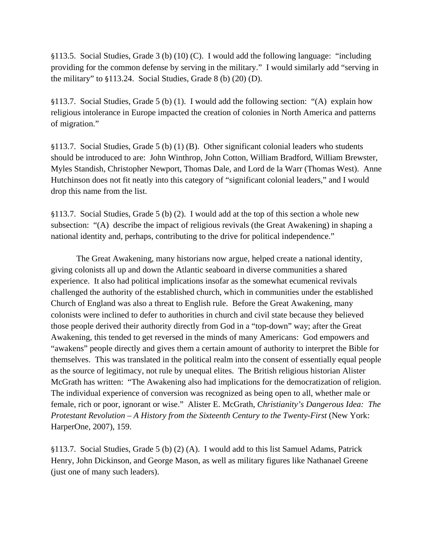§113.5. Social Studies, Grade 3 (b) (10) (C). I would add the following language: "including providing for the common defense by serving in the military." I would similarly add "serving in the military" to §113.24. Social Studies, Grade 8 (b) (20) (D).

§113.7. Social Studies, Grade 5 (b) (1). I would add the following section: "(A) explain how religious intolerance in Europe impacted the creation of colonies in North America and patterns of migration."

§113.7. Social Studies, Grade 5 (b) (1) (B). Other significant colonial leaders who students should be introduced to are: John Winthrop, John Cotton, William Bradford, William Brewster, Myles Standish, Christopher Newport, Thomas Dale, and Lord de la Warr (Thomas West). Anne Hutchinson does not fit neatly into this category of "significant colonial leaders," and I would drop this name from the list.

§113.7. Social Studies, Grade 5 (b) (2). I would add at the top of this section a whole new subsection: "(A) describe the impact of religious revivals (the Great Awakening) in shaping a national identity and, perhaps, contributing to the drive for political independence."

The Great Awakening, many historians now argue, helped create a national identity, giving colonists all up and down the Atlantic seaboard in diverse communities a shared experience. It also had political implications insofar as the somewhat ecumenical revivals challenged the authority of the established church, which in communities under the established Church of England was also a threat to English rule. Before the Great Awakening, many colonists were inclined to defer to authorities in church and civil state because they believed those people derived their authority directly from God in a "top-down" way; after the Great Awakening, this tended to get reversed in the minds of many Americans: God empowers and "awakens" people directly and gives them a certain amount of authority to interpret the Bible for themselves. This was translated in the political realm into the consent of essentially equal people as the source of legitimacy, not rule by unequal elites. The British religious historian Alister McGrath has written: "The Awakening also had implications for the democratization of religion. The individual experience of conversion was recognized as being open to all, whether male or female, rich or poor, ignorant or wise." Alister E. McGrath, *Christianity's Dangerous Idea: The Protestant Revolution – A History from the Sixteenth Century to the Twenty-First* (New York: HarperOne, 2007), 159.

§113.7. Social Studies, Grade 5 (b) (2) (A). I would add to this list Samuel Adams, Patrick Henry, John Dickinson, and George Mason, as well as military figures like Nathanael Greene (just one of many such leaders).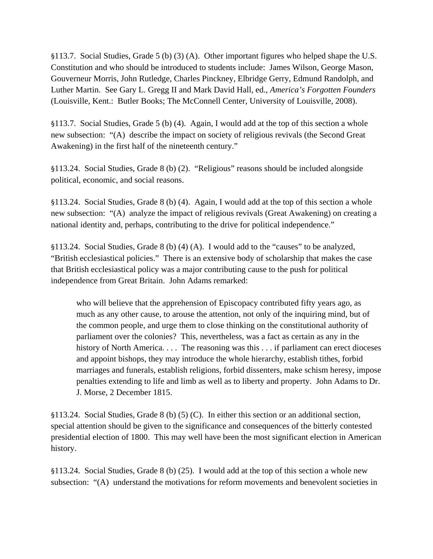§113.7. Social Studies, Grade 5 (b) (3) (A). Other important figures who helped shape the U.S. Constitution and who should be introduced to students include: James Wilson, George Mason, Gouverneur Morris, John Rutledge, Charles Pinckney, Elbridge Gerry, Edmund Randolph, and Luther Martin. See Gary L. Gregg II and Mark David Hall, ed., *America's Forgotten Founders*  (Louisville, Kent.: Butler Books; The McConnell Center, University of Louisville, 2008).

§113.7. Social Studies, Grade 5 (b) (4). Again, I would add at the top of this section a whole new subsection: "(A) describe the impact on society of religious revivals (the Second Great Awakening) in the first half of the nineteenth century."

§113.24. Social Studies, Grade 8 (b) (2). "Religious" reasons should be included alongside political, economic, and social reasons.

§113.24. Social Studies, Grade 8 (b) (4). Again, I would add at the top of this section a whole new subsection: "(A) analyze the impact of religious revivals (Great Awakening) on creating a national identity and, perhaps, contributing to the drive for political independence."

§113.24. Social Studies, Grade 8 (b) (4) (A). I would add to the "causes" to be analyzed, "British ecclesiastical policies." There is an extensive body of scholarship that makes the case that British ecclesiastical policy was a major contributing cause to the push for political independence from Great Britain. John Adams remarked:

who will believe that the apprehension of Episcopacy contributed fifty years ago, as much as any other cause, to arouse the attention, not only of the inquiring mind, but of the common people, and urge them to close thinking on the constitutional authority of parliament over the colonies? This, nevertheless, was a fact as certain as any in the history of North America. . . . The reasoning was this . . . if parliament can erect dioceses and appoint bishops, they may introduce the whole hierarchy, establish tithes, forbid marriages and funerals, establish religions, forbid dissenters, make schism heresy, impose penalties extending to life and limb as well as to liberty and property. John Adams to Dr. J. Morse, 2 December 1815.

§113.24. Social Studies, Grade 8 (b) (5) (C). In either this section or an additional section, special attention should be given to the significance and consequences of the bitterly contested presidential election of 1800. This may well have been the most significant election in American history.

§113.24. Social Studies, Grade 8 (b) (25). I would add at the top of this section a whole new subsection: "(A) understand the motivations for reform movements and benevolent societies in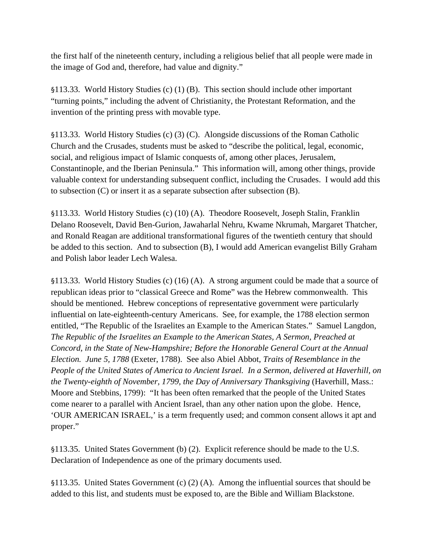the first half of the nineteenth century, including a religious belief that all people were made in the image of God and, therefore, had value and dignity."

§113.33. World History Studies (c) (1) (B). This section should include other important "turning points," including the advent of Christianity, the Protestant Reformation, and the invention of the printing press with movable type.

§113.33. World History Studies (c) (3) (C). Alongside discussions of the Roman Catholic Church and the Crusades, students must be asked to "describe the political, legal, economic, social, and religious impact of Islamic conquests of, among other places, Jerusalem, Constantinople, and the Iberian Peninsula." This information will, among other things, provide valuable context for understanding subsequent conflict, including the Crusades. I would add this to subsection (C) or insert it as a separate subsection after subsection (B).

§113.33. World History Studies (c) (10) (A). Theodore Roosevelt, Joseph Stalin, Franklin Delano Roosevelt, David Ben-Gurion, Jawaharlal Nehru, Kwame Nkrumah, Margaret Thatcher, and Ronald Reagan are additional transformational figures of the twentieth century that should be added to this section. And to subsection (B), I would add American evangelist Billy Graham and Polish labor leader Lech Walesa.

§113.33. World History Studies (c) (16) (A). A strong argument could be made that a source of republican ideas prior to "classical Greece and Rome" was the Hebrew commonwealth. This should be mentioned. Hebrew conceptions of representative government were particularly influential on late-eighteenth-century Americans. See, for example, the 1788 election sermon entitled, "The Republic of the Israelites an Example to the American States." Samuel Langdon, *The Republic of the Israelites an Example to the American States, A Sermon, Preached at Concord, in the State of New-Hampshire; Before the Honorable General Court at the Annual Election. June 5, 1788* (Exeter, 1788). See also Abiel Abbot, *Traits of Resemblance in the People of the United States of America to Ancient Israel. In a Sermon, delivered at Haverhill, on the Twenty-eighth of November, 1799, the Day of Anniversary Thanksgiving* (Haverhill, Mass.: Moore and Stebbins, 1799): "It has been often remarked that the people of the United States come nearer to a parallel with Ancient Israel, than any other nation upon the globe. Hence, 'OUR AMERICAN ISRAEL,' is a term frequently used; and common consent allows it apt and proper."

§113.35. United States Government (b) (2). Explicit reference should be made to the U.S. Declaration of Independence as one of the primary documents used.

§113.35. United States Government (c) (2) (A). Among the influential sources that should be added to this list, and students must be exposed to, are the Bible and William Blackstone.